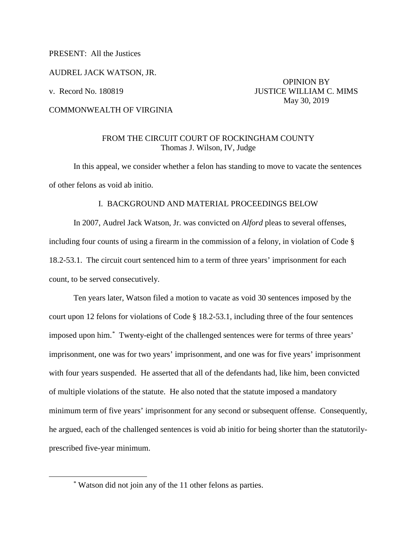PRESENT: All the Justices

AUDREL JACK WATSON, JR.

 OPINION BY v. Record No. 180819 **JUSTICE WILLIAM C. MIMS** May 30, 2019

## COMMONWEALTH OF VIRGINIA

## FROM THE CIRCUIT COURT OF ROCKINGHAM COUNTY Thomas J. Wilson, IV, Judge

In this appeal, we consider whether a felon has standing to move to vacate the sentences of other felons as void ab initio.

## I. BACKGROUND AND MATERIAL PROCEEDINGS BELOW

In 2007, Audrel Jack Watson, Jr. was convicted on *Alford* pleas to several offenses, including four counts of using a firearm in the commission of a felony, in violation of Code § 18.2-53.1. The circuit court sentenced him to a term of three years' imprisonment for each count, to be served consecutively.

Ten years later, Watson filed a motion to vacate as void 30 sentences imposed by the court upon 12 felons for violations of Code § 18.2-53.1, including three of the four sentences imposed upon him.[\\*](#page-0-0) Twenty-eight of the challenged sentences were for terms of three years' imprisonment, one was for two years' imprisonment, and one was for five years' imprisonment with four years suspended. He asserted that all of the defendants had, like him, been convicted of multiple violations of the statute. He also noted that the statute imposed a mandatory minimum term of five years' imprisonment for any second or subsequent offense. Consequently, he argued, each of the challenged sentences is void ab initio for being shorter than the statutorilyprescribed five-year minimum.

<span id="page-0-0"></span> <sup>\*</sup> Watson did not join any of the 11 other felons as parties.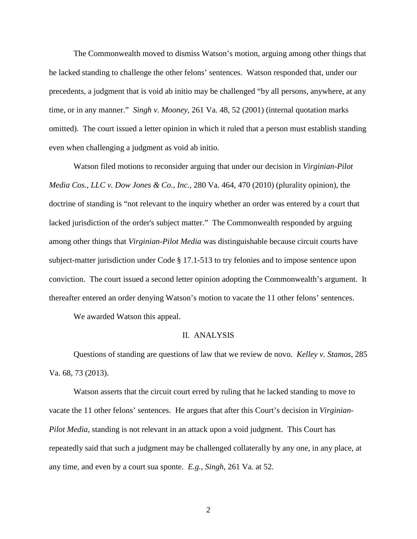The Commonwealth moved to dismiss Watson's motion, arguing among other things that he lacked standing to challenge the other felons' sentences. Watson responded that, under our precedents, a judgment that is void ab initio may be challenged "by all persons, anywhere, at any time, or in any manner." *Singh v. Mooney*, 261 Va. 48, 52 (2001) (internal quotation marks omitted). The court issued a letter opinion in which it ruled that a person must establish standing even when challenging a judgment as void ab initio.

Watson filed motions to reconsider arguing that under our decision in *Virginian-Pilot Media Cos., LLC v. Dow Jones & Co., Inc.*, 280 Va. 464, 470 (2010) (plurality opinion), the doctrine of standing is "not relevant to the inquiry whether an order was entered by a court that lacked jurisdiction of the order's subject matter." The Commonwealth responded by arguing among other things that *Virginian-Pilot Media* was distinguishable because circuit courts have subject-matter jurisdiction under Code § 17.1-513 to try felonies and to impose sentence upon conviction. The court issued a second letter opinion adopting the Commonwealth's argument. It thereafter entered an order denying Watson's motion to vacate the 11 other felons' sentences.

We awarded Watson this appeal.

#### II. ANALYSIS

Questions of standing are questions of law that we review de novo. *Kelley v. Stamos*, 285 Va. 68, 73 (2013).

Watson asserts that the circuit court erred by ruling that he lacked standing to move to vacate the 11 other felons' sentences. He argues that after this Court's decision in *Virginian-Pilot Media*, standing is not relevant in an attack upon a void judgment. This Court has repeatedly said that such a judgment may be challenged collaterally by any one, in any place, at any time, and even by a court sua sponte. *E.g.*, *Singh*, 261 Va. at 52.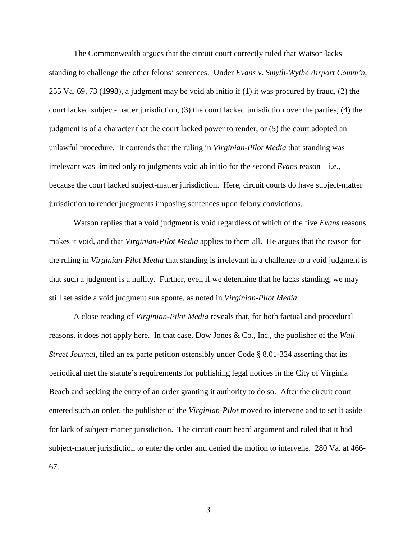The Commonwealth argues that the circuit court correctly ruled that Watson lacks standing to challenge the other felons' sentences. Under *Evans v. Smyth-Wythe Airport Comm'n*, 255 Va. 69, 73 (1998), a judgment may be void ab initio if (1) it was procured by fraud, (2) the court lacked subject-matter jurisdiction, (3) the court lacked jurisdiction over the parties, (4) the judgment is of a character that the court lacked power to render, or (5) the court adopted an unlawful procedure. It contends that the ruling in *Virginian-Pilot Media* that standing was irrelevant was limited only to judgments void ab initio for the second *Evans* reason—i.e., because the court lacked subject-matter jurisdiction. Here, circuit courts do have subject-matter jurisdiction to render judgments imposing sentences upon felony convictions.

Watson replies that a void judgment is void regardless of which of the five *Evans* reasons makes it void, and that *Virginian-Pilot Media* applies to them all. He argues that the reason for the ruling in *Virginian-Pilot Media* that standing is irrelevant in a challenge to a void judgment is that such a judgment is a nullity. Further, even if we determine that he lacks standing, we may still set aside a void judgment sua sponte, as noted in *Virginian-Pilot Media*.

A close reading of *Virginian-Pilot Media* reveals that, for both factual and procedural reasons, it does not apply here. In that case, Dow Jones & Co., Inc., the publisher of the *Wall Street Journal*, filed an ex parte petition ostensibly under Code § 8.01-324 asserting that its periodical met the statute's requirements for publishing legal notices in the City of Virginia Beach and seeking the entry of an order granting it authority to do so. After the circuit court entered such an order, the publisher of the *Virginian-Pilot* moved to intervene and to set it aside for lack of subject-matter jurisdiction. The circuit court heard argument and ruled that it had subject-matter jurisdiction to enter the order and denied the motion to intervene. 280 Va. at 466- 67.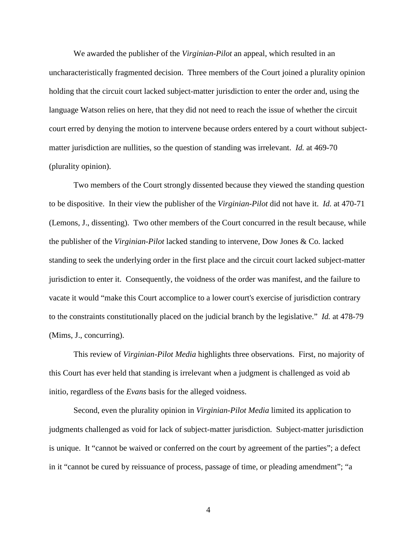We awarded the publisher of the *Virginian-Pilot* an appeal, which resulted in an uncharacteristically fragmented decision. Three members of the Court joined a plurality opinion holding that the circuit court lacked subject-matter jurisdiction to enter the order and, using the language Watson relies on here, that they did not need to reach the issue of whether the circuit court erred by denying the motion to intervene because orders entered by a court without subjectmatter jurisdiction are nullities, so the question of standing was irrelevant. *Id.* at 469-70 (plurality opinion).

Two members of the Court strongly dissented because they viewed the standing question to be dispositive. In their view the publisher of the *Virginian-Pilot* did not have it. *Id.* at 470-71 (Lemons, J., dissenting). Two other members of the Court concurred in the result because, while the publisher of the *Virginian-Pilot* lacked standing to intervene, Dow Jones & Co. lacked standing to seek the underlying order in the first place and the circuit court lacked subject-matter jurisdiction to enter it. Consequently, the voidness of the order was manifest, and the failure to vacate it would "make this Court accomplice to a lower court's exercise of jurisdiction contrary to the constraints constitutionally placed on the judicial branch by the legislative." *Id.* at 478-79 (Mims, J., concurring).

This review of *Virginian-Pilot Media* highlights three observations. First, no majority of this Court has ever held that standing is irrelevant when a judgment is challenged as void ab initio, regardless of the *Evans* basis for the alleged voidness.

Second, even the plurality opinion in *Virginian-Pilot Media* limited its application to judgments challenged as void for lack of subject-matter jurisdiction. Subject-matter jurisdiction is unique. It "cannot be waived or conferred on the court by agreement of the parties"; a defect in it "cannot be cured by reissuance of process, passage of time, or pleading amendment"; "a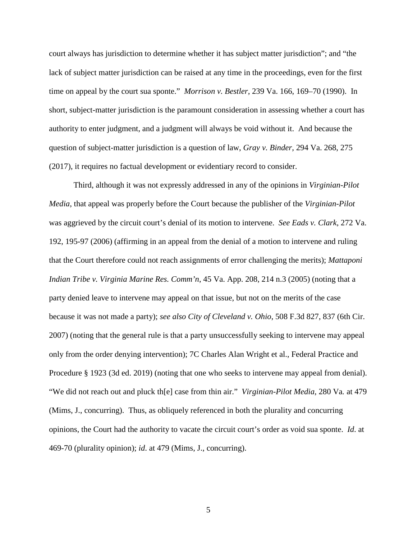court always has jurisdiction to determine whether it has subject matter jurisdiction"; and "the lack of subject matter jurisdiction can be raised at any time in the proceedings, even for the first time on appeal by the court sua sponte." *Morrison v. Bestler*, 239 Va. 166, 169–70 (1990). In short, subject-matter jurisdiction is the paramount consideration in assessing whether a court has authority to enter judgment, and a judgment will always be void without it. And because the question of subject-matter jurisdiction is a question of law, *Gray v. Binder*, 294 Va. 268, 275 (2017), it requires no factual development or evidentiary record to consider.

Third, although it was not expressly addressed in any of the opinions in *Virginian-Pilot Media*, that appeal was properly before the Court because the publisher of the *Virginian-Pilot* was aggrieved by the circuit court's denial of its motion to intervene. *See Eads v. Clark*, 272 Va. 192, 195-97 (2006) (affirming in an appeal from the denial of a motion to intervene and ruling that the Court therefore could not reach assignments of error challenging the merits); *Mattaponi Indian Tribe v. Virginia Marine Res. Comm'n*, 45 Va. App. 208, 214 n.3 (2005) (noting that a party denied leave to intervene may appeal on that issue, but not on the merits of the case because it was not made a party); *see also City of Cleveland v. Ohio*, 508 F.3d 827, 837 (6th Cir. 2007) (noting that the general rule is that a party unsuccessfully seeking to intervene may appeal only from the order denying intervention); 7C Charles Alan Wright et al., Federal Practice and Procedure § 1923 (3d ed. 2019) (noting that one who seeks to intervene may appeal from denial). "We did not reach out and pluck th[e] case from thin air." *Virginian-Pilot Media*, 280 Va*.* at 479 (Mims, J., concurring). Thus, as obliquely referenced in both the plurality and concurring opinions, the Court had the authority to vacate the circuit court's order as void sua sponte. *Id*. at 469-70 (plurality opinion); *id*. at 479 (Mims, J., concurring).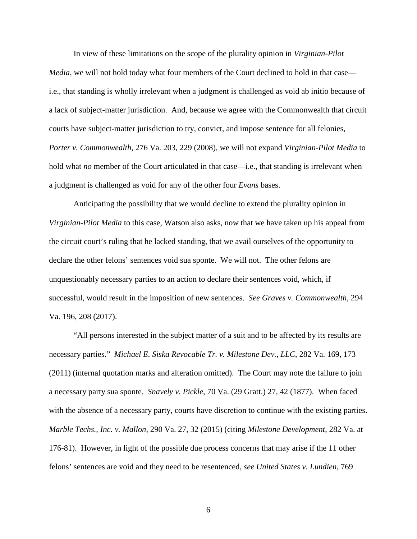In view of these limitations on the scope of the plurality opinion in *Virginian-Pilot Media*, we will not hold today what four members of the Court declined to hold in that case i.e., that standing is wholly irrelevant when a judgment is challenged as void ab initio because of a lack of subject-matter jurisdiction. And, because we agree with the Commonwealth that circuit courts have subject-matter jurisdiction to try, convict, and impose sentence for all felonies, *Porter v. Commonwealth*, 276 Va. 203, 229 (2008), we will not expand *Virginian-Pilot Media* to hold what *no* member of the Court articulated in that case—i.e., that standing is irrelevant when a judgment is challenged as void for any of the other four *Evans* bases.

Anticipating the possibility that we would decline to extend the plurality opinion in *Virginian-Pilot Media* to this case, Watson also asks, now that we have taken up his appeal from the circuit court's ruling that he lacked standing, that we avail ourselves of the opportunity to declare the other felons' sentences void sua sponte. We will not. The other felons are unquestionably necessary parties to an action to declare their sentences void, which, if successful, would result in the imposition of new sentences. *See Graves v. Commonwealth*, 294 Va. 196, 208 (2017).

"All persons interested in the subject matter of a suit and to be affected by its results are necessary parties." *Michael E. Siska Revocable Tr. v. Milestone Dev., LLC*, 282 Va. 169, 173 (2011) (internal quotation marks and alteration omitted). The Court may note the failure to join a necessary party sua sponte. *Snavely v. Pickle*, 70 Va. (29 Gratt.) 27, 42 (1877). When faced with the absence of a necessary party, courts have discretion to continue with the existing parties. *Marble Techs., Inc. v. Mallon*, 290 Va. 27, 32 (2015) (citing *Milestone Development*, 282 Va. at 176-81). However, in light of the possible due process concerns that may arise if the 11 other felons' sentences are void and they need to be resentenced, *see United States v. Lundien*, 769